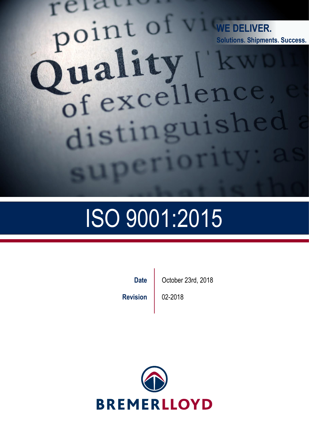## relati **Technical Proposal WE DELIVER.** Content **PUILERILLY** of excellence distinguished erior

# ISO 9001:2015

**Revision | 02-2018** 

**Date C** October 23rd, 2018

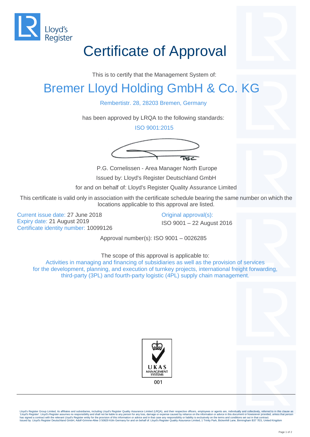

## Certificate of Approval

This is to certify that the Management System of:

#### Bremer Lloyd Holding GmbH & Co. KG

Rembertistr. 28, 28203 Bremen, Germany

has been approved by LRQA to the following standards:

ISO 9001:2015



P.G. Cornelissen - Area Manager North Europe Issued by: Lloyd's Register Deutschland GmbH

for and on behalf of: Lloyd's Register Quality Assurance Limited

This certificate is valid only in association with the certificate schedule bearing the same number on which the locations applicable to this approval are listed.

Current issue date: 27 June 2018 Current issue date: 27 June 2018 Expiry date: 21 August 2019 **ISO 9001 – 22 August 2016** Certificate identity number: 10099126

Approval number(s): ISO 9001 – 0026285

The scope of this approval is applicable to: Activities in managing and financing of subsidiaries as well as the provision of services for the development, planning, and execution of turnkey projects, international freight forwarding, third-party (3PL) and fourth-party logistic (4PL) supply chain management.





Lloyd's Register Group Limited, its affiliates and subsidiaries, including Lloyd's Register Quality Assurance Limited (LRQA), and their respective officers, employees or agents are, individually and collectively, referred Issued by: Lloyd's Register Deutschland GmbH, Adolf-Grimme-Allee 3 50829 Köln Germany for and on behalf of: Lloyd's Register Quality Assurance Limited, 1 Trinity Park, Bickenhill Lane, Birmingham B37 7ES, United Kingdom